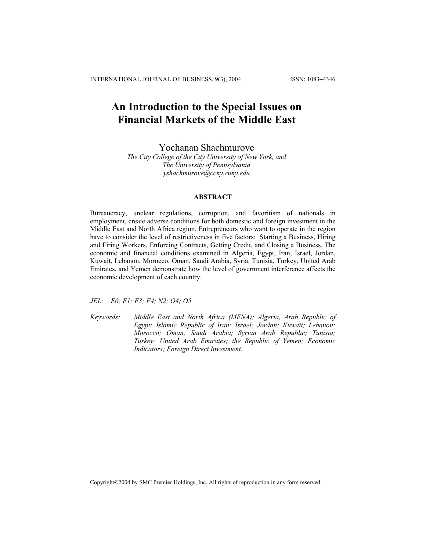INTERNATIONAL JOURNAL OF BUSINESS, 9(3), 2004 ISSN: 1083−4346

# **An Introduction to the Special Issues on Financial Markets of the Middle East**

Yochanan Shachmurove

*The City College of the City University of New York, and The University of Pennsylvania yshachmurove@ccny.cuny.edu*

## **ABSTRACT**

Bureaucracy, unclear regulations, corruption, and favoritism of nationals in employment, create adverse conditions for both domestic and foreign investment in the Middle East and North Africa region. Entrepreneurs who want to operate in the region have to consider the level of restrictiveness in five factors: Starting a Business, Hiring and Firing Workers, Enforcing Contracts, Getting Credit, and Closing a Business. The economic and financial conditions examined in Algeria, Egypt, Iran, Israel, Jordan, Kuwait, Lebanon, Morocco, Oman, Saudi Arabia, Syria, Tunisia, Turkey, United Arab Emirates, and Yemen demonstrate how the level of government interference affects the economic development of each country.

*JEL: E0; E1; F3; F4; N2; O4; O5* 

*Keywords: Middle East and North Africa (MENA); Algeria, Arab Republic of Egypt; Islamic Republic of Iran; Israel; Jordan; Kuwait; Lebanon; Morocco; Oman; Saudi Arabia; Syrian Arab Republic; Tunisia; Turkey; United Arab Emirates; the Republic of Yemen; Economic Indicators; Foreign Direct Investment.* 

Copyright©2004 by SMC Premier Holdings, Inc. All rights of reproduction in any form reserved.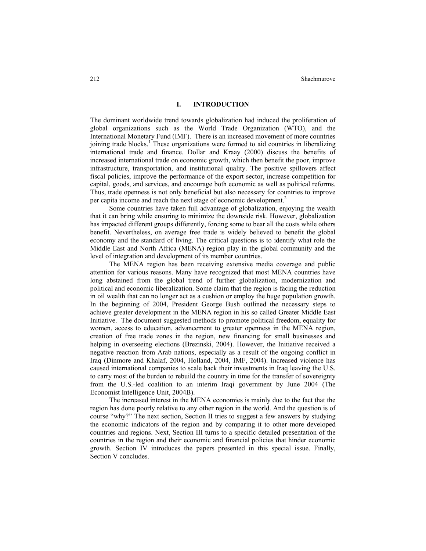## **I. INTRODUCTION**

The dominant worldwide trend towards globalization had induced the proliferation of global organizations such as the World Trade Organization (WTO), and the International Monetary Fund (IMF). There is an increased movement of more countries joining trade blocks.<sup>1</sup> These organizations were formed to aid countries in liberalizing international trade and finance. Dollar and Kraay (2000) discuss the benefits of increased international trade on economic growth, which then benefit the poor, improve infrastructure, transportation, and institutional quality. The positive spillovers affect fiscal policies, improve the performance of the export sector, increase competition for capital, goods, and services, and encourage both economic as well as political reforms. Thus, trade openness is not only beneficial but also necessary for countries to improve per capita income and reach the next stage of economic development.<sup>2</sup>

Some countries have taken full advantage of globalization, enjoying the wealth that it can bring while ensuring to minimize the downside risk. However, globalization has impacted different groups differently, forcing some to bear all the costs while others benefit. Nevertheless, on average free trade is widely believed to benefit the global economy and the standard of living. The critical questions is to identify what role the Middle East and North Africa (MENA) region play in the global community and the level of integration and development of its member countries.

The MENA region has been receiving extensive media coverage and public attention for various reasons. Many have recognized that most MENA countries have long abstained from the global trend of further globalization, modernization and political and economic liberalization. Some claim that the region is facing the reduction in oil wealth that can no longer act as a cushion or employ the huge population growth. In the beginning of 2004, President George Bush outlined the necessary steps to achieve greater development in the MENA region in his so called Greater Middle East Initiative. The document suggested methods to promote political freedom, equality for women, access to education, advancement to greater openness in the MENA region, creation of free trade zones in the region, new financing for small businesses and helping in overseeing elections (Brezinski, 2004). However, the Initiative received a negative reaction from Arab nations, especially as a result of the ongoing conflict in Iraq (Dinmore and Khalaf, 2004, Holland, 2004, IMF, 2004). Increased violence has caused international companies to scale back their investments in Iraq leaving the U.S. to carry most of the burden to rebuild the country in time for the transfer of sovereignty from the U.S.-led coalition to an interim Iraqi government by June 2004 (The Economist Intelligence Unit, 2004B).

The increased interest in the MENA economies is mainly due to the fact that the region has done poorly relative to any other region in the world. And the question is of course "why?" The next section, Section II tries to suggest a few answers by studying the economic indicators of the region and by comparing it to other more developed countries and regions. Next, Section III turns to a specific detailed presentation of the countries in the region and their economic and financial policies that hinder economic growth. Section IV introduces the papers presented in this special issue. Finally, Section V concludes.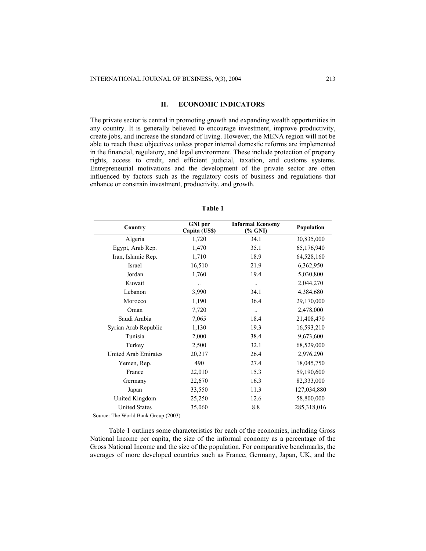# **II. ECONOMIC INDICATORS**

The private sector is central in promoting growth and expanding wealth opportunities in any country. It is generally believed to encourage investment, improve productivity, create jobs, and increase the standard of living. However, the MENA region will not be able to reach these objectives unless proper internal domestic reforms are implemented in the financial, regulatory, and legal environment. These include protection of property rights, access to credit, and efficient judicial, taxation, and customs systems. Entrepreneurial motivations and the development of the private sector are often influenced by factors such as the regulatory costs of business and regulations that enhance or constrain investment, productivity, and growth.

| ш<br>v |  |
|--------|--|
|        |  |

| Country              | <b>GNI</b> per<br>Capita (US\$) | <b>Informal Economy</b><br>(% GNI) | Population  |
|----------------------|---------------------------------|------------------------------------|-------------|
| Algeria              | 1,720                           | 34.1                               | 30,835,000  |
| Egypt, Arab Rep.     | 1,470                           | 35.1                               | 65,176,940  |
| Iran, Islamic Rep.   | 1,710                           | 18.9                               | 64,528,160  |
| Israel               | 16,510                          | 21.9                               | 6,362,950   |
| Jordan               | 1,760                           | 19.4                               | 5,030,800   |
| Kuwait               | $\ddotsc$                       | $\ddot{\phantom{0}}$               | 2,044,270   |
| Lebanon              | 3,990                           | 34.1                               | 4,384,680   |
| Morocco              | 1,190                           | 36.4                               | 29,170,000  |
| Oman                 | 7,720                           | $\ddotsc$                          | 2,478,000   |
| Saudi Arabia         | 7,065                           | 18.4                               | 21,408,470  |
| Syrian Arab Republic | 1,130                           | 19.3                               | 16,593,210  |
| Tunisia              | 2,000                           | 38.4                               | 9,673,600   |
| Turkey               | 2,500                           | 32.1                               | 68,529,000  |
| United Arab Emirates | 20,217                          | 26.4                               | 2,976,290   |
| Yemen, Rep.          | 490                             | 27.4                               | 18,045,750  |
| France               | 22,010                          | 15.3                               | 59,190,600  |
| Germany              | 22,670                          | 16.3                               | 82,333,000  |
| Japan                | 33,550                          | 11.3                               | 127,034,880 |
| United Kingdom       | 25,250                          | 12.6                               | 58,800,000  |
| <b>United States</b> | 35,060                          | 8.8                                | 285,318,016 |

Source: The World Bank Group (2003)

Table 1 outlines some characteristics for each of the economies, including Gross National Income per capita, the size of the informal economy as a percentage of the Gross National Income and the size of the population. For comparative benchmarks, the averages of more developed countries such as France, Germany, Japan, UK, and the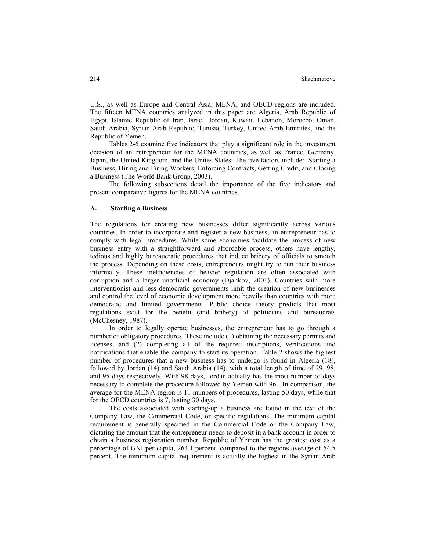U.S., as well as Europe and Central Asia, MENA, and OECD regions are included. The fifteen MENA countries analyzed in this paper are Algeria, Arab Republic of Egypt, Islamic Republic of Iran, Israel, Jordan, Kuwait, Lebanon, Morocco, Oman, Saudi Arabia, Syrian Arab Republic, Tunisia, Turkey, United Arab Emirates, and the Republic of Yemen.

Tables 2-6 examine five indicators that play a significant role in the investment decision of an entrepreneur for the MENA countries, as well as France, Germany, Japan, the United Kingdom, and the Unites States. The five factors include: Starting a Business, Hiring and Firing Workers, Enforcing Contracts, Getting Credit, and Closing a Business (The World Bank Group, 2003).

The following subsections detail the importance of the five indicators and present comparative figures for the MENA countries.

#### **A. Starting a Business**

The regulations for creating new businesses differ significantly across various countries. In order to incorporate and register a new business, an entrepreneur has to comply with legal procedures. While some economies facilitate the process of new business entry with a straightforward and affordable process, others have lengthy, tedious and highly bureaucratic procedures that induce bribery of officials to smooth the process. Depending on these costs, entrepreneurs might try to run their business informally. These inefficiencies of heavier regulation are often associated with corruption and a larger unofficial economy (Djankov, 2001). Countries with more interventionist and less democratic governments limit the creation of new businesses and control the level of economic development more heavily than countries with more democratic and limited governments. Public choice theory predicts that most regulations exist for the benefit (and bribery) of politicians and bureaucrats (McChesney, 1987).

In order to legally operate businesses, the entrepreneur has to go through a number of obligatory procedures. These include (1) obtaining the necessary permits and licenses, and (2) completing all of the required inscriptions, verifications and notifications that enable the company to start its operation. Table 2 shows the highest number of procedures that a new business has to undergo is found in Algeria (18), followed by Jordan (14) and Saudi Arabia (14), with a total length of time of 29, 98, and 95 days respectively. With 98 days, Jordan actually has the most number of days necessary to complete the procedure followed by Yemen with 96. In comparison, the average for the MENA region is 11 numbers of procedures, lasting 50 days, while that for the OECD countries is 7, lasting 30 days.

The costs associated with starting-up a business are found in the text of the Company Law, the Commercial Code, or specific regulations. The minimum capital requirement is generally specified in the Commercial Code or the Company Law, dictating the amount that the entrepreneur needs to deposit in a bank account in order to obtain a business registration number. Republic of Yemen has the greatest cost as a percentage of GNI per capita, 264.1 percent, compared to the regions average of 54.5 percent. The minimum capital requirement is actually the highest in the Syrian Arab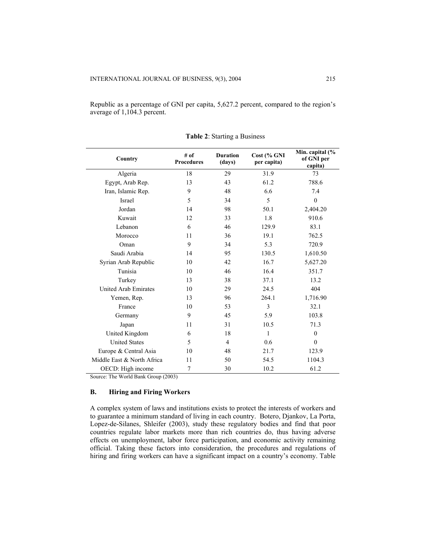Republic as a percentage of GNI per capita, 5,627.2 percent, compared to the region's average of 1,104.3 percent.

| Country                     | $#$ of<br><b>Procedures</b> | <b>Duration</b><br>(days) | Cost (% GNI<br>per capita) | Min. capital (%<br>of GNI per<br>capita) |  |
|-----------------------------|-----------------------------|---------------------------|----------------------------|------------------------------------------|--|
| Algeria                     | 18                          | 29                        | 31.9                       | 73                                       |  |
| Egypt, Arab Rep.            | 13                          | 43                        | 61.2                       | 788.6                                    |  |
| Iran, Islamic Rep.          | 9                           | 48                        | 6.6                        | 7.4                                      |  |
| Israel                      | 5                           | 34                        | 5                          | $\mathbf{0}$                             |  |
| Jordan                      | 14                          | 98                        | 50.1                       | 2,404.20                                 |  |
| Kuwait                      | 12                          | 33                        | 1.8                        | 910.6                                    |  |
| Lebanon                     | 6                           | 46                        | 129.9                      | 83.1                                     |  |
| Morocco                     | 11                          | 36                        | 19.1                       | 762.5                                    |  |
| Oman                        | 9                           | 34                        | 5.3                        | 720.9                                    |  |
| Saudi Arabia                | 14                          | 95                        | 130.5                      | 1,610.50                                 |  |
| Syrian Arab Republic        | 10                          | 42                        | 16.7                       | 5,627.20                                 |  |
| Tunisia                     | 10                          | 46                        | 16.4                       | 351.7                                    |  |
| Turkey                      | 13                          | 38                        | 37.1                       | 13.2                                     |  |
| <b>United Arab Emirates</b> | 10                          | 29                        | 24.5                       | 404                                      |  |
| Yemen, Rep.                 | 13                          | 96                        | 264.1                      | 1,716.90                                 |  |
| France                      | 10                          | 53                        | 3                          | 32.1                                     |  |
| Germany                     | 9                           | 45                        | 5.9                        | 103.8                                    |  |
| Japan                       | 11                          | 31                        | 10.5                       | 71.3                                     |  |
| United Kingdom              | 6                           | 18                        | 1                          | $\mathbf{0}$                             |  |
| <b>United States</b>        | 5                           | $\overline{4}$            | 0.6                        | $\mathbf{0}$                             |  |
| Europe & Central Asia       | 10                          | 48                        | 21.7                       | 123.9                                    |  |
| Middle East & North Africa  | 11                          | 50                        | 54.5                       | 1104.3                                   |  |
| OECD: High income           | 7                           | 30                        | 10.2                       | 61.2                                     |  |

**Table 2**: Starting a Business

Source: The World Bank Group (2003)

# **B. Hiring and Firing Workers**

A complex system of laws and institutions exists to protect the interests of workers and to guarantee a minimum standard of living in each country. Botero, Djankov, La Porta, Lopez-de-Silanes, Shleifer (2003), study these regulatory bodies and find that poor countries regulate labor markets more than rich countries do, thus having adverse effects on unemployment, labor force participation, and economic activity remaining official. Taking these factors into consideration, the procedures and regulations of hiring and firing workers can have a significant impact on a country's economy. Table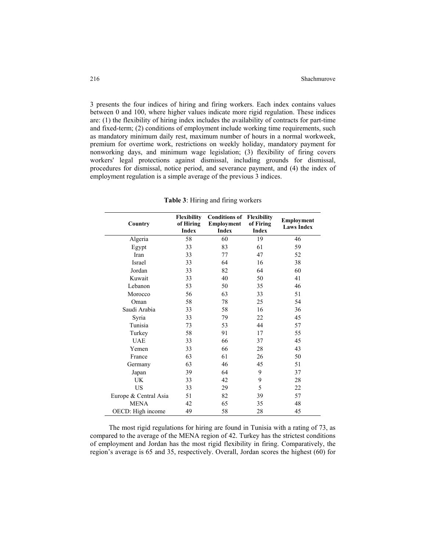3 presents the four indices of hiring and firing workers. Each index contains values between 0 and 100, where higher values indicate more rigid regulation. These indices are: (1) the flexibility of hiring index includes the availability of contracts for part-time and fixed-term; (2) conditions of employment include working time requirements, such as mandatory minimum daily rest, maximum number of hours in a normal workweek, premium for overtime work, restrictions on weekly holiday, mandatory payment for nonworking days, and minimum wage legislation; (3) flexibility of firing covers workers' legal protections against dismissal, including grounds for dismissal, procedures for dismissal, notice period, and severance payment, and (4) the index of employment regulation is a simple average of the previous 3 indices.

| Country               | Flexibility<br>of Hiring<br><b>Index</b> | <b>Conditions of Flexibility</b><br>Employment<br><b>Index</b> | of Firing<br><b>Index</b> | Employment<br><b>Laws Index</b> |
|-----------------------|------------------------------------------|----------------------------------------------------------------|---------------------------|---------------------------------|
| Algeria               | 58                                       | 60                                                             | 19                        | 46                              |
| Egypt                 | 33                                       | 83                                                             | 61                        | 59                              |
| Iran                  | 33                                       | 77                                                             | 47                        | 52                              |
| Israel                | 33                                       | 64                                                             | 16                        | 38                              |
| Jordan                | 33                                       | 82                                                             | 64                        | 60                              |
| Kuwait                | 33                                       | 40                                                             | 50                        | 41                              |
| Lebanon               | 53                                       | 50                                                             | 35                        | 46                              |
| Morocco               | 56                                       | 63                                                             | 33                        | 51                              |
| Oman                  | 58                                       | 78                                                             | 25                        | 54                              |
| Saudi Arabia          | 33                                       | 58                                                             | 16                        | 36                              |
| Syria                 | 33                                       | 79                                                             | 22                        | 45                              |
| Tunisia               | 73                                       | 53                                                             | 44                        | 57                              |
| Turkey                | 58                                       | 91                                                             | 17                        | 55                              |
| <b>UAE</b>            | 33                                       | 66                                                             | 37                        | 45                              |
| Yemen                 | 33                                       | 66                                                             | 28                        | 43                              |
| France                | 63                                       | 61                                                             | 26                        | 50                              |
| Germany               | 63                                       | 46                                                             | 45                        | 51                              |
| Japan                 | 39                                       | 64                                                             | 9                         | 37                              |
| UK                    | 33                                       | 42                                                             | 9                         | 28                              |
| <b>US</b>             | 33                                       | 29                                                             | 5                         | 22                              |
| Europe & Central Asia | 51                                       | 82                                                             | 39                        | 57                              |
| <b>MENA</b>           | 42                                       | 65                                                             | 35                        | 48                              |
| OECD: High income     | 49                                       | 58                                                             | 28                        | 45                              |

**Table 3**: Hiring and firing workers

The most rigid regulations for hiring are found in Tunisia with a rating of 73, as compared to the average of the MENA region of 42. Turkey has the strictest conditions of employment and Jordan has the most rigid flexibility in firing. Comparatively, the region's average is 65 and 35, respectively. Overall, Jordan scores the highest (60) for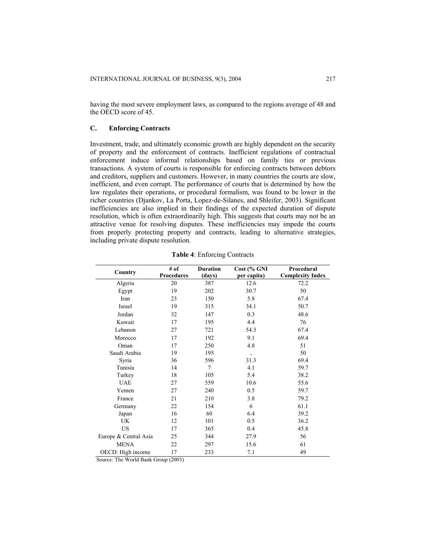having the most severe employment laws, as compared to the regions average of 48 and the OECD score of 45.

## **C. Enforcing Contracts**

Investment, trade, and ultimately economic growth are highly dependent on the security of property and the enforcement of contracts. Inefficient regulations of contractual enforcement induce informal relationships based on family ties or previous transactions. A system of courts is responsible for enforcing contracts between debtors and creditors, suppliers and customers. However, in many countries the courts are slow, inefficient, and even corrupt. The performance of courts that is determined by how the law regulates their operations, or procedural formalism, was found to be lower in the richer countries (Djankov, La Porta, Lopez-de-Silanes, and Shleifer, 2003). Significant inefficiencies are also implied in their findings of the expected duration of dispute resolution, which is often extraordinarily high. This suggests that courts may not be an attractive venue for resolving disputes. These inefficiencies may impede the courts from properly protecting property and contracts, leading to alternative strategies, including private dispute resolution.

| Country               | # of              | <b>Duration</b> | Cost (% GNI | Procedural              |
|-----------------------|-------------------|-----------------|-------------|-------------------------|
|                       | <b>Procedures</b> | (days)          | per capita) | <b>Complexity Index</b> |
| Algeria               | 20                | 387             | 12.6        | 72.2                    |
| Egypt                 | 19                | 202             | 30.7        | 50                      |
| Iran                  | 23                | 150             | 5.8         | 67.4                    |
| Israel                | 19                | 315             | 34.1        | 50.7                    |
| Jordan                | 32                | 147             | 0.3         | 48.6                    |
| Kuwait                | 17                | 195             | 4.4         | 76                      |
| Lebanon               | 27                | 721             | 54.3        | 67.4                    |
| Morocco               | 17                | 192             | 9.1         | 69.4                    |
| Oman                  | 17                | 250             | 4.8         | 51                      |
| Saudi Arabia          | 19                | 195             |             | 50                      |
| Syria                 | 36                | 596             | 31.3        | 69.4                    |
| Tunisia               | 14                | $\overline{7}$  | 4.1         | 59.7                    |
| Turkey                | 18                | 105             | 5.4         | 38.2                    |
| <b>UAE</b>            | 27                | 559             | 10.6        | 55.6                    |
| Yemen                 | 27                | 240             | 0.5         | 59.7                    |
| France                | 21                | 210             | 3.8         | 79.2                    |
| Germany               | 22                | 154             | 6           | 61.1                    |
| Japan                 | 16                | 60              | 6.4         | 39.2                    |
| UK                    | 12                | 101             | 0.5         | 36.2                    |
| <b>US</b>             | 17                | 365             | 0.4         | 45.8                    |
| Europe & Central Asia | 25                | 344             | 27.9        | 56                      |
| <b>MENA</b>           | 22                | 297             | 15.6        | 61                      |
| OECD: High income     | 17                | 233             | 7.1         | 49                      |

**Table 4**: Enforcing Contracts

Source: The World Bank Group (2003)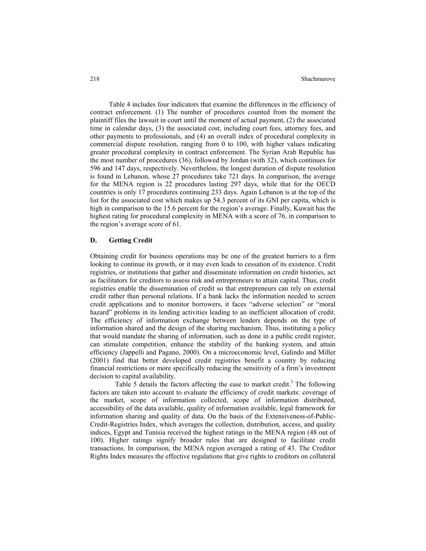Table 4 includes four indicators that examine the differences in the efficiency of contract enforcement. (1) The number of procedures counted from the moment the plaintiff files the lawsuit in court until the moment of actual payment, (2) the associated time in calendar days, (3) the associated cost, including court fees, attorney fees, and other payments to professionals, and (4) an overall index of procedural complexity in commercial dispute resolution, ranging from 0 to 100, with higher values indicating greater procedural complexity in contract enforcement. The Syrian Arab Republic has the most number of procedures (36), followed by Jordan (with 32), which continues for 596 and 147 days, respectively. Nevertheless, the longest duration of dispute resolution is found in Lebanon, whose 27 procedures take 721 days. In comparison, the average for the MENA region is 22 procedures lasting 297 days, while that for the OECD countries is only 17 procedures continuing 233 days. Again Lebanon is at the top of the list for the associated cost which makes up 54.3 percent of its GNI per capita, which is high in comparison to the 15.6 percent for the region's average. Finally, Kuwait has the highest rating for procedural complexity in MENA with a score of 76, in comparison to the region's average score of 61.

#### **D. Getting Credit**

Obtaining credit for business operations may be one of the greatest barriers to a firm looking to continue its growth, or it may even leads to cessation of its existence. Credit registries, or institutions that gather and disseminate information on credit histories, act as facilitators for creditors to assess risk and entrepreneurs to attain capital. Thus, credit registries enable the dissemination of credit so that entrepreneurs can rely on external credit rather than personal relations. If a bank lacks the information needed to screen credit applications and to monitor borrowers, it faces "adverse selection" or "moral hazard" problems in its lending activities leading to an inefficient allocation of credit. The efficiency of information exchange between lenders depends on the type of information shared and the design of the sharing mechanism. Thus, instituting a policy that would mandate the sharing of information, such as done in a public credit register, can stimulate competition, enhance the stability of the banking system, and attain efficiency (Jappelli and Pagano, 2000). On a microeconomic level, Galindo and Miller (2001) find that better developed credit registries benefit a country by reducing financial restrictions or more specifically reducing the sensitivity of a firm's investment decision to capital availability.

Table 5 details the factors affecting the ease to market credit.<sup>3</sup> The following factors are taken into account to evaluate the efficiency of credit markets: coverage of the market, scope of information collected, scope of information distributed, accessibility of the data available, quality of information available, legal framework for information sharing and quality of data. On the basis of the Extensiveness-of-Public-Credit-Registries Index, which averages the collection, distribution, access, and quality indices, Egypt and Tunisia received the highest ratings in the MENA region (48 out of 100). Higher ratings signify broader rules that are designed to facilitate credit transactions. In comparison, the MENA region averaged a rating of 43. The Creditor Rights Index measures the effective regulations that give rights to creditors on collateral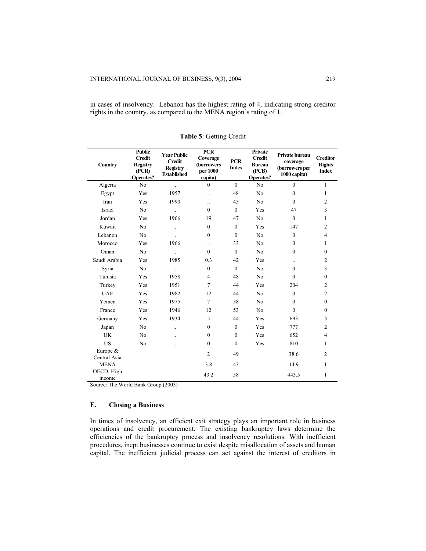in cases of insolvency. Lebanon has the highest rating of 4, indicating strong creditor rights in the country, as compared to the MENA region's rating of 1.

| Country                    | <b>Public</b><br><b>Credit</b><br><b>Registry</b><br>(PCR)<br><b>Operates?</b> | <b>Year Public</b><br><b>Credit</b><br><b>Registry</b><br><b>Established</b> | <b>PCR</b><br>Coverage<br>(borrowers<br>per 1000<br>capita) | <b>PCR</b><br><b>Index</b> | Private<br><b>Credit</b><br><b>Bureau</b><br>(PCB)<br><b>Operates?</b> | Private bureau<br>coverage<br>(borrowers per<br>1000 capita) | <b>Creditor</b><br><b>Rights</b><br><b>Index</b> |
|----------------------------|--------------------------------------------------------------------------------|------------------------------------------------------------------------------|-------------------------------------------------------------|----------------------------|------------------------------------------------------------------------|--------------------------------------------------------------|--------------------------------------------------|
| Algeria                    | N <sub>0</sub>                                                                 |                                                                              | $\theta$                                                    | $\Omega$                   | N <sub>0</sub>                                                         | $\Omega$                                                     | 1                                                |
| Egypt                      | Yes                                                                            | 1957                                                                         | $\ddotsc$                                                   | 48                         | No                                                                     | $\theta$                                                     | 1                                                |
| Iran                       | Yes                                                                            | 1990                                                                         | $\ddotsc$                                                   | 45                         | N <sub>0</sub>                                                         | $\theta$                                                     | $\overline{c}$                                   |
| Israel                     | N <sub>0</sub>                                                                 | $\sim$                                                                       | $\theta$                                                    | $\mathbf{0}$               | Yes                                                                    | 47                                                           | 3                                                |
| Jordan                     | Yes                                                                            | 1966                                                                         | 19                                                          | 47                         | No                                                                     | $\mathbf{0}$                                                 | 1                                                |
| Kuwait                     | N <sub>o</sub>                                                                 | $\ddotsc$                                                                    | $\boldsymbol{0}$                                            | $\mathbf{0}$               | Yes                                                                    | 147                                                          | $\overline{2}$                                   |
| Lebanon                    | N <sub>0</sub>                                                                 | $\ddot{\phantom{a}}$                                                         | $\mathbf{0}$                                                | $\mathbf{0}$               | No                                                                     | $\mathbf{0}$                                                 | 4                                                |
| Morocco                    | Yes                                                                            | 1966                                                                         | $\ddotsc$                                                   | 33                         | N <sub>0</sub>                                                         | $\theta$                                                     | 1                                                |
| Oman                       | N <sub>o</sub>                                                                 | $\ddotsc$                                                                    | $\theta$                                                    | $\overline{0}$             | N <sub>0</sub>                                                         | $\mathbf{0}$                                                 | $\mathbf{0}$                                     |
| Saudi Arabia               | Yes                                                                            | 1985                                                                         | 0.3                                                         | 42                         | Yes                                                                    | $\ddotsc$                                                    | 2                                                |
| Syria                      | No                                                                             | $\ddotsc$                                                                    | $\boldsymbol{0}$                                            | $\overline{0}$             | No                                                                     | $\theta$                                                     | 3                                                |
| Tunisia                    | Yes                                                                            | 1958                                                                         | $\overline{4}$                                              | 48                         | N <sub>0</sub>                                                         | $\theta$                                                     | $\mathbf{0}$                                     |
| Turkey                     | Yes                                                                            | 1951                                                                         | $\overline{7}$                                              | 44                         | Yes                                                                    | 204                                                          | $\overline{c}$                                   |
| <b>UAE</b>                 | Yes                                                                            | 1982                                                                         | 12                                                          | 44                         | No                                                                     | $\overline{0}$                                               | $\overline{2}$                                   |
| Yemen                      | Yes                                                                            | 1975                                                                         | $\overline{7}$                                              | 38                         | N <sub>0</sub>                                                         | $\Omega$                                                     | $\theta$                                         |
| France                     | Yes                                                                            | 1946                                                                         | 12                                                          | 53                         | No                                                                     | $\overline{0}$                                               | $\mathbf{0}$                                     |
| Germany                    | Yes                                                                            | 1934                                                                         | 5                                                           | 44                         | Yes                                                                    | 693                                                          | 3                                                |
| Japan                      | No                                                                             | $\ddotsc$                                                                    | $\boldsymbol{0}$                                            | $\mathbf{0}$               | Yes                                                                    | 777                                                          | 2                                                |
| <b>UK</b>                  | N <sub>0</sub>                                                                 | $\ddot{\phantom{a}}$                                                         | $\mathbf{0}$                                                | $\overline{0}$             | Yes                                                                    | 652                                                          | $\overline{4}$                                   |
| <b>US</b>                  | N <sub>0</sub>                                                                 |                                                                              | $\mathbf{0}$                                                | $\mathbf{0}$               | Yes                                                                    | 810                                                          | 1                                                |
| Europe $&$<br>Central Asia |                                                                                |                                                                              | $\overline{c}$                                              | 49                         |                                                                        | 38.6                                                         | $\overline{2}$                                   |
| <b>MENA</b>                |                                                                                |                                                                              | 3.8                                                         | 43                         |                                                                        | 14.9                                                         | 1                                                |
| OECD: High<br>income       |                                                                                |                                                                              | 43.2                                                        | 58                         |                                                                        | 443.5                                                        | 1                                                |

**Table 5**: Getting Credit

Source: The World Bank Group (2003)

## **E. Closing a Business**

In times of insolvency, an efficient exit strategy plays an important role in business operations and credit procurement. The existing bankruptcy laws determine the efficiencies of the bankruptcy process and insolvency resolutions. With inefficient procedures, inept businesses continue to exist despite misallocation of assets and human capital. The inefficient judicial process can act against the interest of creditors in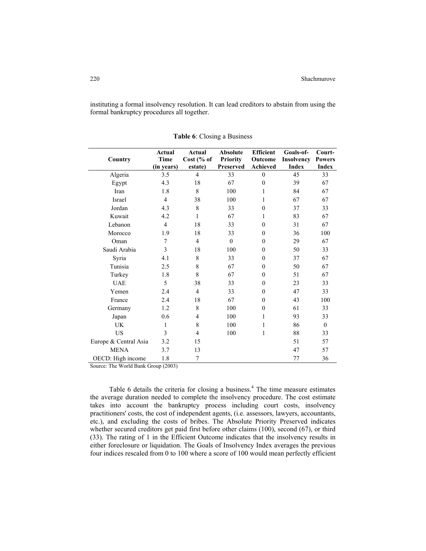instituting a formal insolvency resolution. It can lead creditors to abstain from using the formal bankruptcy procedures all together.

| Country               | Actual<br><b>Time</b> | <b>Actual</b><br>Cost $%$ Of | <b>Absolute</b><br><b>Priority</b> | <b>Efficient</b><br>Outcome | Goals-of-<br>Insolvency | Court-<br><b>Powers</b> |
|-----------------------|-----------------------|------------------------------|------------------------------------|-----------------------------|-------------------------|-------------------------|
|                       | (in years)            | estate)                      | <b>Preserved</b>                   | Achieved                    | <b>Index</b>            | <b>Index</b>            |
| Algeria               | 3.5                   | $\overline{4}$               | 33                                 | $\theta$                    | 45                      | 33                      |
| Egypt                 | 4.3                   | 18                           | 67                                 | $\theta$                    | 39                      | 67                      |
| Iran                  | 1.8                   | 8                            | 100                                | 1                           | 84                      | 67                      |
| Israel                | $\overline{4}$        | 38                           | 100                                | 1                           | 67                      | 67                      |
| Jordan                | 4.3                   | 8                            | 33                                 | $\theta$                    | 37                      | 33                      |
| Kuwait                | 4.2                   | 1                            | 67                                 | 1                           | 83                      | 67                      |
| Lebanon               | $\overline{4}$        | 18                           | 33                                 | $\theta$                    | 31                      | 67                      |
| Morocco               | 1.9                   | 18                           | 33                                 | $\theta$                    | 36                      | 100                     |
| Oman                  | 7                     | $\overline{4}$               | $\theta$                           | $\theta$                    | 29                      | 67                      |
| Saudi Arabia          | 3                     | 18                           | 100                                | $\theta$                    | 50                      | 33                      |
| Syria                 | 4.1                   | 8                            | 33                                 | $\Omega$                    | 37                      | 67                      |
| Tunisia               | 2.5                   | 8                            | 67                                 | $\theta$                    | 50                      | 67                      |
| Turkey                | 1.8                   | 8                            | 67                                 | $\Omega$                    | 51                      | 67                      |
| <b>UAE</b>            | 5                     | 38                           | 33                                 | $\theta$                    | 23                      | 33                      |
| Yemen                 | 2.4                   | $\overline{4}$               | 33                                 | $\theta$                    | 47                      | 33                      |
| France                | 2.4                   | 18                           | 67                                 | $\Omega$                    | 43                      | 100                     |
| Germany               | 1.2                   | 8                            | 100                                | $\theta$                    | 61                      | 33                      |
| Japan                 | 0.6                   | $\overline{4}$               | 100                                | 1                           | 93                      | 33                      |
| UK                    | 1                     | 8                            | 100                                | 1                           | 86                      | $\theta$                |
| <b>US</b>             | 3                     | $\overline{4}$               | 100                                | 1                           | 88                      | 33                      |
| Europe & Central Asia | 3.2                   | 15                           |                                    |                             | 51                      | 57                      |
| <b>MENA</b>           | 3.7                   | 13                           |                                    |                             | 47                      | 57                      |
| OECD: High income     | 1.8                   | 7                            |                                    |                             | 77                      | 36                      |

**Table 6**: Closing a Business

Source: The World Bank Group (2003)

Table 6 details the criteria for closing a business. $<sup>4</sup>$  The time measure estimates</sup> the average duration needed to complete the insolvency procedure. The cost estimate takes into account the bankruptcy process including court costs, insolvency practitioners' costs, the cost of independent agents, (i.e. assessors, lawyers, accountants, etc.), and excluding the costs of bribes. The Absolute Priority Preserved indicates whether secured creditors get paid first before other claims (100), second (67), or third (33). The rating of 1 in the Efficient Outcome indicates that the insolvency results in either foreclosure or liquidation. The Goals of Insolvency Index averages the previous four indices rescaled from 0 to 100 where a score of 100 would mean perfectly efficient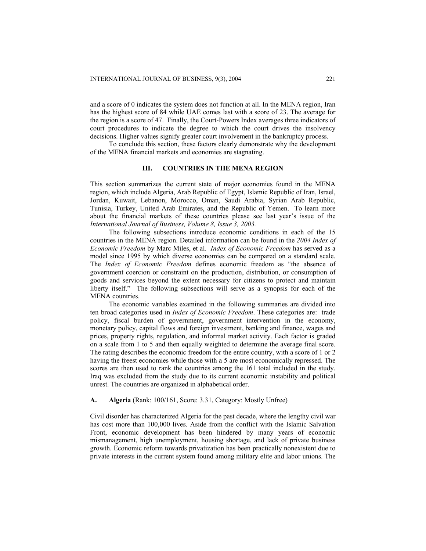and a score of 0 indicates the system does not function at all. In the MENA region, Iran has the highest score of 84 while UAE comes last with a score of 23. The average for the region is a score of 47. Finally, the Court-Powers Index averages three indicators of court procedures to indicate the degree to which the court drives the insolvency decisions. Higher values signify greater court involvement in the bankruptcy process.

To conclude this section, these factors clearly demonstrate why the development of the MENA financial markets and economies are stagnating.

# **III. COUNTRIES IN THE MENA REGION**

This section summarizes the current state of major economies found in the MENA region, which include Algeria, Arab Republic of Egypt, Islamic Republic of Iran, Israel, Jordan, Kuwait, Lebanon, Morocco, Oman, Saudi Arabia, Syrian Arab Republic, Tunisia, Turkey, United Arab Emirates, and the Republic of Yemen. To learn more about the financial markets of these countries please see last year's issue of the *International Journal of Business, Volume 8, Issue 3, 2003.* 

The following subsections introduce economic conditions in each of the 15 countries in the MENA region. Detailed information can be found in the *2004 Index of Economic Freedom* by Marc Miles, et al. *Index of Economic Freedom* has served as a model since 1995 by which diverse economies can be compared on a standard scale. The *Index of Economic Freedom* defines economic freedom as "the absence of government coercion or constraint on the production, distribution, or consumption of goods and services beyond the extent necessary for citizens to protect and maintain liberty itself." The following subsections will serve as a synopsis for each of the MENA countries.

The economic variables examined in the following summaries are divided into ten broad categories used in *Index of Economic Freedom*. These categories are: trade policy, fiscal burden of government, government intervention in the economy, monetary policy, capital flows and foreign investment, banking and finance, wages and prices, property rights, regulation, and informal market activity. Each factor is graded on a scale from 1 to 5 and then equally weighted to determine the average final score. The rating describes the economic freedom for the entire country, with a score of 1 or 2 having the freest economies while those with a 5 are most economically repressed. The scores are then used to rank the countries among the 161 total included in the study. Iraq was excluded from the study due to its current economic instability and political unrest. The countries are organized in alphabetical order.

## **A. Algeria** (Rank: 100/161, Score: 3.31, Category: Mostly Unfree)

Civil disorder has characterized Algeria for the past decade, where the lengthy civil war has cost more than 100,000 lives. Aside from the conflict with the Islamic Salvation Front, economic development has been hindered by many years of economic mismanagement, high unemployment, housing shortage, and lack of private business growth. Economic reform towards privatization has been practically nonexistent due to private interests in the current system found among military elite and labor unions. The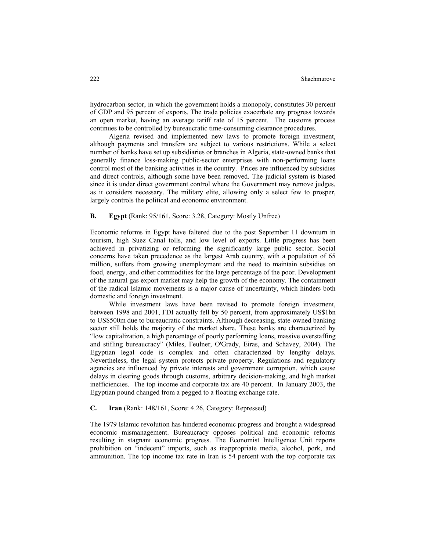hydrocarbon sector, in which the government holds a monopoly, constitutes 30 percent of GDP and 95 percent of exports. The trade policies exacerbate any progress towards an open market, having an average tariff rate of 15 percent. The customs process continues to be controlled by bureaucratic time-consuming clearance procedures.

Algeria revised and implemented new laws to promote foreign investment, although payments and transfers are subject to various restrictions. While a select number of banks have set up subsidiaries or branches in Algeria, state-owned banks that generally finance loss-making public-sector enterprises with non-performing loans control most of the banking activities in the country. Prices are influenced by subsidies and direct controls, although some have been removed. The judicial system is biased since it is under direct government control where the Government may remove judges, as it considers necessary. The military elite, allowing only a select few to prosper, largely controls the political and economic environment.

## **B. Egypt** (Rank: 95/161, Score: 3.28, Category: Mostly Unfree)

Economic reforms in Egypt have faltered due to the post September 11 downturn in tourism, high Suez Canal tolls, and low level of exports. Little progress has been achieved in privatizing or reforming the significantly large public sector. Social concerns have taken precedence as the largest Arab country, with a population of 65 million, suffers from growing unemployment and the need to maintain subsidies on food, energy, and other commodities for the large percentage of the poor. Development of the natural gas export market may help the growth of the economy. The containment of the radical Islamic movements is a major cause of uncertainty, which hinders both domestic and foreign investment.

While investment laws have been revised to promote foreign investment, between 1998 and 2001, FDI actually fell by 50 percent, from approximately US\$1bn to US\$500m due to bureaucratic constraints. Although decreasing, state-owned banking sector still holds the majority of the market share. These banks are characterized by "low capitalization, a high percentage of poorly performing loans, massive overstaffing and stifling bureaucracy" (Miles[, Feulner](http://www.amazon.com/exec/obidos/search-handle-url/index=books&field-author=Feulner%2C Edwin J./102-2998802-4068139), [O'Grady](http://www.amazon.com/exec/obidos/search-handle-url/index=books&field-author=O%27Grady%2C Mary Anastasia/102-2998802-4068139), [Eiras,](http://www.amazon.com/exec/obidos/search-handle-url/index=books&field-author=Eiras%2C Ana Isabel/102-2998802-4068139) and [Schavey,](http://www.amazon.com/exec/obidos/search-handle-url/index=books&field-author=Schavey%2C Aaron/102-2998802-4068139) 2004). The Egyptian legal code is complex and often characterized by lengthy delays. Nevertheless, the legal system protects private property. Regulations and regulatory agencies are influenced by private interests and government corruption, which cause delays in clearing goods through customs, arbitrary decision-making, and high market inefficiencies. The top income and corporate tax are 40 percent. In January 2003, the Egyptian pound changed from a pegged to a floating exchange rate.

## **C. Iran** (Rank: 148/161, Score: 4.26, Category: Repressed)

The 1979 Islamic revolution has hindered economic progress and brought a widespread economic mismanagement. Bureaucracy opposes political and economic reforms resulting in stagnant economic progress. The Economist Intelligence Unit reports prohibition on "indecent" imports, such as inappropriate media, alcohol, pork, and ammunition. The top income tax rate in Iran is 54 percent with the top corporate tax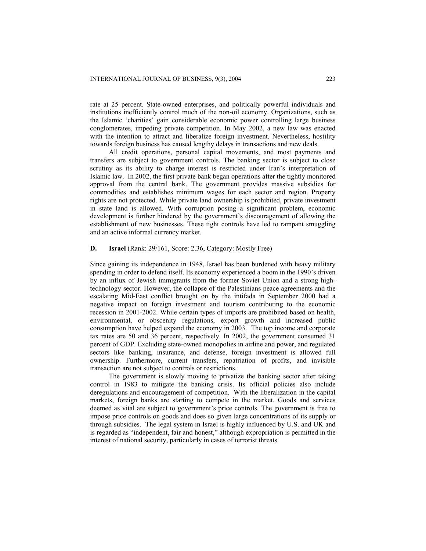rate at 25 percent. State-owned enterprises, and politically powerful individuals and institutions inefficiently control much of the non-oil economy. Organizations, such as the Islamic 'charities' gain considerable economic power controlling large business conglomerates, impeding private competition. In May 2002, a new law was enacted with the intention to attract and liberalize foreign investment. Nevertheless, hostility towards foreign business has caused lengthy delays in transactions and new deals.

All credit operations, personal capital movements, and most payments and transfers are subject to government controls. The banking sector is subject to close scrutiny as its ability to charge interest is restricted under Iran's interpretation of Islamic law. In 2002, the first private bank began operations after the tightly monitored approval from the central bank. The government provides massive subsidies for commodities and establishes minimum wages for each sector and region. Property rights are not protected. While private land ownership is prohibited, private investment in state land is allowed. With corruption posing a significant problem, economic development is further hindered by the government's discouragement of allowing the establishment of new businesses. These tight controls have led to rampant smuggling and an active informal currency market.

# **D. Israel** (Rank: 29/161, Score: 2.36, Category: Mostly Free)

Since gaining its independence in 1948, Israel has been burdened with heavy military spending in order to defend itself. Its economy experienced a boom in the 1990's driven by an influx of Jewish immigrants from the former Soviet Union and a strong hightechnology sector. However, the collapse of the Palestinians peace agreements and the escalating Mid-East conflict brought on by the intifada in September 2000 had a negative impact on foreign investment and tourism contributing to the economic recession in 2001-2002. While certain types of imports are prohibited based on health, environmental, or obscenity regulations, export growth and increased public consumption have helped expand the economy in 2003. The top income and corporate tax rates are 50 and 36 percent, respectively. In 2002, the government consumed 31 percent of GDP. Excluding state-owned monopolies in airline and power, and regulated sectors like banking, insurance, and defense, foreign investment is allowed full ownership. Furthermore, current transfers, repatriation of profits, and invisible transaction are not subject to controls or restrictions.

The government is slowly moving to privatize the banking sector after taking control in 1983 to mitigate the banking crisis. Its official policies also include deregulations and encouragement of competition. With the liberalization in the capital markets, foreign banks are starting to compete in the market. Goods and services deemed as vital are subject to government's price controls. The government is free to impose price controls on goods and does so given large concentrations of its supply or through subsidies. The legal system in Israel is highly influenced by U.S. and UK and is regarded as "independent, fair and honest," although expropriation is permitted in the interest of national security, particularly in cases of terrorist threats.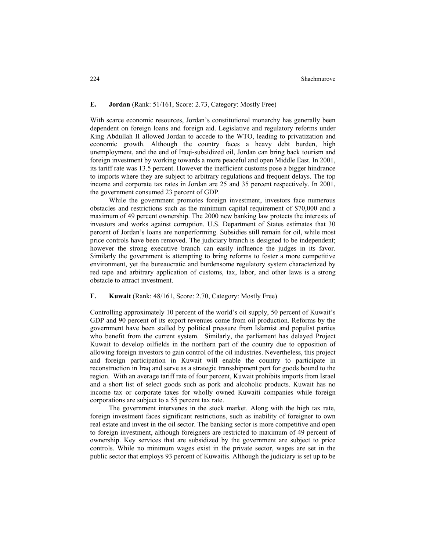# **E. Jordan** (Rank: 51/161, Score: 2.73, Category: Mostly Free)

With scarce economic resources, Jordan's constitutional monarchy has generally been dependent on foreign loans and foreign aid. Legislative and regulatory reforms under King Abdullah II allowed Jordan to accede to the WTO, leading to privatization and economic growth. Although the country faces a heavy debt burden, high unemployment, and the end of Iraqi-subsidized oil, Jordan can bring back tourism and foreign investment by working towards a more peaceful and open Middle East. In 2001, its tariff rate was 13.5 percent. However the inefficient customs pose a bigger hindrance to imports where they are subject to arbitrary regulations and frequent delays. The top income and corporate tax rates in Jordan are 25 and 35 percent respectively. In 2001, the government consumed 23 percent of GDP.

While the government promotes foreign investment, investors face numerous obstacles and restrictions such as the minimum capital requirement of \$70,000 and a maximum of 49 percent ownership. The 2000 new banking law protects the interests of investors and works against corruption. U.S. Department of States estimates that 30 percent of Jordan's loans are nonperforming. Subsidies still remain for oil, while most price controls have been removed. The judiciary branch is designed to be independent; however the strong executive branch can easily influence the judges in its favor. Similarly the government is attempting to bring reforms to foster a more competitive environment, yet the bureaucratic and burdensome regulatory system characterized by red tape and arbitrary application of customs, tax, labor, and other laws is a strong obstacle to attract investment.

# **F. Kuwait** (Rank: 48/161, Score: 2.70, Category: Mostly Free)

Controlling approximately 10 percent of the world's oil supply, 50 percent of Kuwait's GDP and 90 percent of its export revenues come from oil production. Reforms by the government have been stalled by political pressure from Islamist and populist parties who benefit from the current system. Similarly, the parliament has delayed Project Kuwait to develop oilfields in the northern part of the country due to opposition of allowing foreign investors to gain control of the oil industries. Nevertheless, this project and foreign participation in Kuwait will enable the country to participate in reconstruction in Iraq and serve as a strategic transshipment port for goods bound to the region. With an average tariff rate of four percent, Kuwait prohibits imports from Israel and a short list of select goods such as pork and alcoholic products. Kuwait has no income tax or corporate taxes for wholly owned Kuwaiti companies while foreign corporations are subject to a 55 percent tax rate.

The government intervenes in the stock market. Along with the high tax rate, foreign investment faces significant restrictions, such as inability of foreigner to own real estate and invest in the oil sector. The banking sector is more competitive and open to foreign investment, although foreigners are restricted to maximum of 49 percent of ownership. Key services that are subsidized by the government are subject to price controls. While no minimum wages exist in the private sector, wages are set in the public sector that employs 93 percent of Kuwaitis. Although the judiciary is set up to be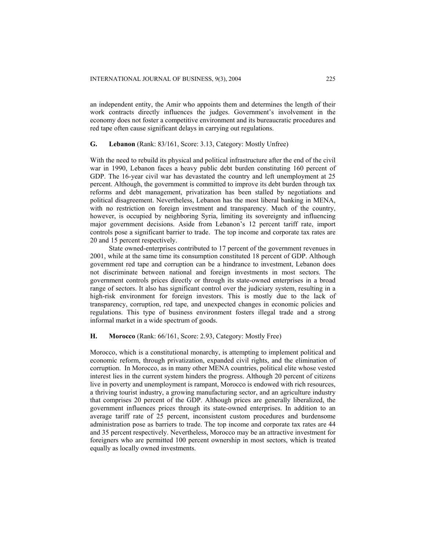an independent entity, the Amir who appoints them and determines the length of their work contracts directly influences the judges. Government's involvement in the economy does not foster a competitive environment and its bureaucratic procedures and red tape often cause significant delays in carrying out regulations.

#### **G. Lebanon** (Rank: 83/161, Score: 3.13, Category: Mostly Unfree)

With the need to rebuild its physical and political infrastructure after the end of the civil war in 1990, Lebanon faces a heavy public debt burden constituting 160 percent of GDP. The 16-year civil war has devastated the country and left unemployment at 25 percent. Although, the government is committed to improve its debt burden through tax reforms and debt management, privatization has been stalled by negotiations and political disagreement. Nevertheless, Lebanon has the most liberal banking in MENA, with no restriction on foreign investment and transparency. Much of the country, however, is occupied by neighboring Syria, limiting its sovereignty and influencing major government decisions. Aside from Lebanon's 12 percent tariff rate, import controls pose a significant barrier to trade. The top income and corporate tax rates are 20 and 15 percent respectively.

State owned-enterprises contributed to 17 percent of the government revenues in 2001, while at the same time its consumption constituted 18 percent of GDP. Although government red tape and corruption can be a hindrance to investment, Lebanon does not discriminate between national and foreign investments in most sectors. The government controls prices directly or through its state-owned enterprises in a broad range of sectors. It also has significant control over the judiciary system, resulting in a high-risk environment for foreign investors. This is mostly due to the lack of transparency, corruption, red tape, and unexpected changes in economic policies and regulations. This type of business environment fosters illegal trade and a strong informal market in a wide spectrum of goods.

## **H. Morocco** (Rank: 66/161, Score: 2.93, Category: Mostly Free)

Morocco, which is a constitutional monarchy, is attempting to implement political and economic reform, through privatization, expanded civil rights, and the elimination of corruption. In Morocco, as in many other MENA countries, political elite whose vested interest lies in the current system hinders the progress. Although 20 percent of citizens live in poverty and unemployment is rampant, Morocco is endowed with rich resources, a thriving tourist industry, a growing manufacturing sector, and an agriculture industry that comprises 20 percent of the GDP. Although prices are generally liberalized, the government influences prices through its state-owned enterprises. In addition to an average tariff rate of 25 percent, inconsistent custom procedures and burdensome administration pose as barriers to trade. The top income and corporate tax rates are 44 and 35 percent respectively. Nevertheless, Morocco may be an attractive investment for foreigners who are permitted 100 percent ownership in most sectors, which is treated equally as locally owned investments.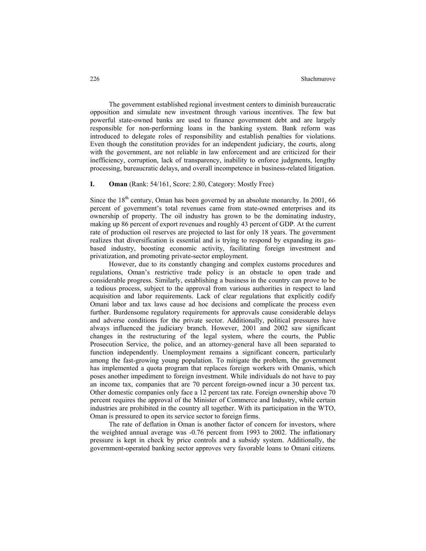The government established regional investment centers to diminish bureaucratic opposition and simulate new investment through various incentives. The few but powerful state-owned banks are used to finance government debt and are largely responsible for non-performing loans in the banking system. Bank reform was introduced to delegate roles of responsibility and establish penalties for violations. Even though the constitution provides for an independent judiciary, the courts, along with the government, are not reliable in law enforcement and are criticized for their inefficiency, corruption, lack of transparency, inability to enforce judgments, lengthy processing, bureaucratic delays, and overall incompetence in business-related litigation.

# **I. Oman** (Rank: 54/161, Score: 2.80, Category: Mostly Free)

Since the  $18<sup>th</sup>$  century, Oman has been governed by an absolute monarchy. In 2001, 66 percent of government's total revenues came from state-owned enterprises and its ownership of property. The oil industry has grown to be the dominating industry, making up 86 percent of export revenues and roughly 43 percent of GDP. At the current rate of production oil reserves are projected to last for only 18 years. The government realizes that diversification is essential and is trying to respond by expanding its gasbased industry, boosting economic activity, facilitating foreign investment and privatization, and promoting private-sector employment.

However, due to its constantly changing and complex customs procedures and regulations, Oman's restrictive trade policy is an obstacle to open trade and considerable progress. Similarly, establishing a business in the country can prove to be a tedious process, subject to the approval from various authorities in respect to land acquisition and labor requirements. Lack of clear regulations that explicitly codify Omani labor and tax laws cause ad hoc decisions and complicate the process even further. Burdensome regulatory requirements for approvals cause considerable delays and adverse conditions for the private sector. Additionally, political pressures have always influenced the judiciary branch. However, 2001 and 2002 saw significant changes in the restructuring of the legal system, where the courts, the Public Prosecution Service, the police, and an attorney-general have all been separated to function independently. Unemployment remains a significant concern, particularly among the fast-growing young population. To mitigate the problem, the government has implemented a quota program that replaces foreign workers with Omanis, which poses another impediment to foreign investment. While individuals do not have to pay an income tax, companies that are 70 percent foreign-owned incur a 30 percent tax. Other domestic companies only face a 12 percent tax rate. Foreign ownership above 70 percent requires the approval of the Minister of Commerce and Industry, while certain industries are prohibited in the country all together. With its participation in the WTO, Oman is pressured to open its service sector to foreign firms.

The rate of deflation in Oman is another factor of concern for investors, where the weighted annual average was -0.76 percent from 1993 to 2002. The inflationary pressure is kept in check by price controls and a subsidy system. Additionally, the government-operated banking sector approves very favorable loans to Omani citizens.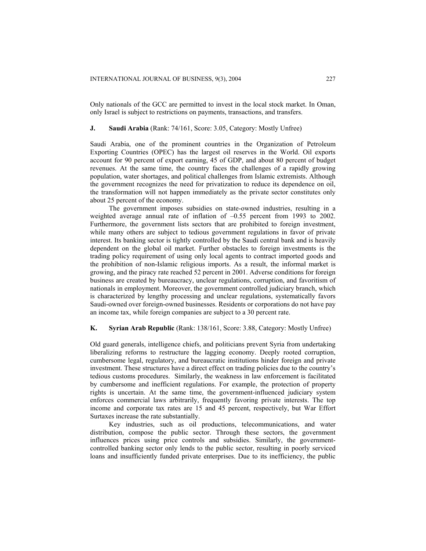Only nationals of the GCC are permitted to invest in the local stock market. In Oman, only Israel is subject to restrictions on payments, transactions, and transfers.

#### **J. Saudi Arabia** (Rank: 74/161, Score: 3.05, Category: Mostly Unfree)

Saudi Arabia, one of the prominent countries in the Organization of Petroleum Exporting Countries (OPEC) has the largest oil reserves in the World. Oil exports account for 90 percent of export earning, 45 of GDP, and about 80 percent of budget revenues. At the same time, the country faces the challenges of a rapidly growing population, water shortages, and political challenges from Islamic extremists. Although the government recognizes the need for privatization to reduce its dependence on oil, the transformation will not happen immediately as the private sector constitutes only about 25 percent of the economy.

The government imposes subsidies on state-owned industries, resulting in a weighted average annual rate of inflation of –0.55 percent from 1993 to 2002. Furthermore, the government lists sectors that are prohibited to foreign investment, while many others are subject to tedious government regulations in favor of private interest. Its banking sector is tightly controlled by the Saudi central bank and is heavily dependent on the global oil market. Further obstacles to foreign investments is the trading policy requirement of using only local agents to contract imported goods and the prohibition of non-Islamic religious imports. As a result, the informal market is growing, and the piracy rate reached 52 percent in 2001. Adverse conditions for foreign business are created by bureaucracy, unclear regulations, corruption, and favoritism of nationals in employment. Moreover, the government controlled judiciary branch, which is characterized by lengthy processing and unclear regulations, systematically favors Saudi-owned over foreign-owned businesses. Residents or corporations do not have pay an income tax, while foreign companies are subject to a 30 percent rate.

### **K. Syrian Arab Republic** (Rank: 138/161, Score: 3.88, Category: Mostly Unfree)

Old guard generals, intelligence chiefs, and politicians prevent Syria from undertaking liberalizing reforms to restructure the lagging economy. Deeply rooted corruption, cumbersome legal, regulatory, and bureaucratic institutions hinder foreign and private investment. These structures have a direct effect on trading policies due to the country's tedious customs procedures. Similarly, the weakness in law enforcement is facilitated by cumbersome and inefficient regulations. For example, the protection of property rights is uncertain. At the same time, the government-influenced judiciary system enforces commercial laws arbitrarily, frequently favoring private interests. The top income and corporate tax rates are 15 and 45 percent, respectively, but War Effort Surtaxes increase the rate substantially.

Key industries, such as oil productions, telecommunications, and water distribution, compose the public sector. Through these sectors, the government influences prices using price controls and subsidies. Similarly, the governmentcontrolled banking sector only lends to the public sector, resulting in poorly serviced loans and insufficiently funded private enterprises. Due to its inefficiency, the public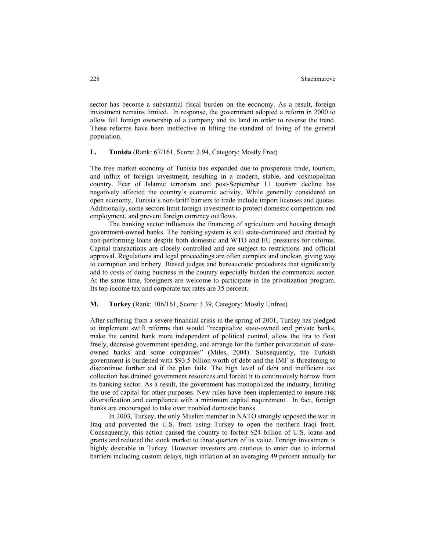sector has become a substantial fiscal burden on the economy. As a result, foreign investment remains limited. In response, the government adopted a reform in 2000 to allow full foreign ownership of a company and its land in order to reverse the trend. These reforms have been ineffective in lifting the standard of living of the general population.

## **L. Tunisia** (Rank: 67/161, Score: 2.94, Category: Mostly Free)

The free market economy of Tunisia has expanded due to prosperous trade, tourism, and influx of foreign investment, resulting in a modern, stable, and cosmopolitan country. Fear of Islamic terrorism and post-September 11 tourism decline has negatively affected the country's economic activity. While generally considered an open economy, Tunisia's non-tariff barriers to trade include import licenses and quotas. Additionally, some sectors limit foreign investment to protect domestic competitors and employment, and prevent foreign currency outflows.

The banking sector influences the financing of agriculture and housing through government-owned banks. The banking system is still state-dominated and drained by non-performing loans despite both domestic and WTO and EU pressures for reforms. Capital transactions are closely controlled and are subject to restrictions and official approval. Regulations and legal proceedings are often complex and unclear, giving way to corruption and bribery. Biased judges and bureaucratic procedures that significantly add to costs of doing business in the country especially burden the commercial sector. At the same time, foreigners are welcome to participate in the privatization program. Its top income tax and corporate tax rates are 35 percent.

## **M. Turkey** (Rank: 106/161, Score: 3.39, Category: Mostly Unfree)

After suffering from a severe financial crisis in the spring of 2001, Turkey has pledged to implement swift reforms that would "recapitalize state-owned and private banks, make the central bank more independent of political control, allow the lira to float freely, decrease government spending, and arrange for the further privatization of stateowned banks and some companies" (Miles, 2004). Subsequently, the Turkish government is burdened with \$93.5 billion worth of debt and the IMF is threatening to discontinue further aid if the plan fails. The high level of debt and inefficient tax collection has drained government resources and forced it to continuously borrow from its banking sector. As a result, the government has monopolized the industry, limiting the use of capital for other purposes. New rules have been implemented to ensure risk diversification and compliance with a minimum capital requirement. In fact, foreign banks are encouraged to take over troubled domestic banks.

In 2003, Turkey, the only Muslim member in NATO strongly opposed the war in Iraq and prevented the U.S. from using Turkey to open the northern Iraqi front. Consequently, this action caused the country to forfeit \$24 billion of U.S. loans and grants and reduced the stock market to three quarters of its value. Foreign investment is highly desirable in Turkey. However investors are cautious to enter due to informal barriers including custom delays, high inflation of an averaging 49 percent annually for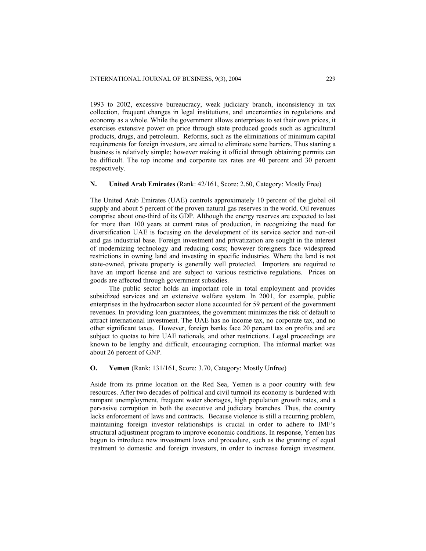1993 to 2002, excessive bureaucracy, weak judiciary branch, inconsistency in tax collection, frequent changes in legal institutions, and uncertainties in regulations and economy as a whole. While the government allows enterprises to set their own prices, it exercises extensive power on price through state produced goods such as agricultural products, drugs, and petroleum. Reforms, such as the eliminations of minimum capital requirements for foreign investors, are aimed to eliminate some barriers. Thus starting a business is relatively simple; however making it official through obtaining permits can be difficult. The top income and corporate tax rates are 40 percent and 30 percent respectively.

# **N. United Arab Emirates** (Rank: 42/161, Score: 2.60, Category: Mostly Free)

The United Arab Emirates (UAE) controls approximately 10 percent of the global oil supply and about 5 percent of the proven natural gas reserves in the world. Oil revenues comprise about one-third of its GDP. Although the energy reserves are expected to last for more than 100 years at current rates of production, in recognizing the need for diversification UAE is focusing on the development of its service sector and non-oil and gas industrial base. Foreign investment and privatization are sought in the interest of modernizing technology and reducing costs; however foreigners face widespread restrictions in owning land and investing in specific industries. Where the land is not state-owned, private property is generally well protected. Importers are required to have an import license and are subject to various restrictive regulations. Prices on goods are affected through government subsidies.

The public sector holds an important role in total employment and provides subsidized services and an extensive welfare system. In 2001, for example, public enterprises in the hydrocarbon sector alone accounted for 59 percent of the government revenues. In providing loan guarantees, the government minimizes the risk of default to attract international investment. The UAE has no income tax, no corporate tax, and no other significant taxes. However, foreign banks face 20 percent tax on profits and are subject to quotas to hire UAE nationals, and other restrictions. Legal proceedings are known to be lengthy and difficult, encouraging corruption. The informal market was about 26 percent of GNP.

# **O. Yemen** (Rank: 131/161, Score: 3.70, Category: Mostly Unfree)

Aside from its prime location on the Red Sea, Yemen is a poor country with few resources. After two decades of political and civil turmoil its economy is burdened with rampant unemployment, frequent water shortages, high population growth rates, and a pervasive corruption in both the executive and judiciary branches. Thus, the country lacks enforcement of laws and contracts. Because violence is still a recurring problem, maintaining foreign investor relationships is crucial in order to adhere to IMF's structural adjustment program to improve economic conditions. In response, Yemen has begun to introduce new investment laws and procedure, such as the granting of equal treatment to domestic and foreign investors, in order to increase foreign investment.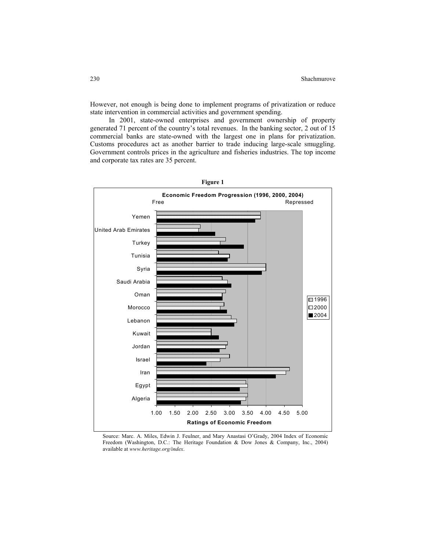However, not enough is being done to implement programs of privatization or reduce state intervention in commercial activities and government spending.

In 2001, state-owned enterprises and government ownership of property generated 71 percent of the country's total revenues. In the banking sector, 2 out of 15 commercial banks are state-owned with the largest one in plans for privatization. Customs procedures act as another barrier to trade inducing large-scale smuggling. Government controls prices in the agriculture and fisheries industries. The top income and corporate tax rates are 35 percent.



**Figure 1** 

 Source: Marc. A. Miles, Edwin J. Feulner, and Mary Anastasi O'Grady, 2004 Index of Economic Freedom (Washington, D.C.: The Heritage Foundation & Dow Jones & Company, Inc., 2004) available at *www.heritage.org/index*.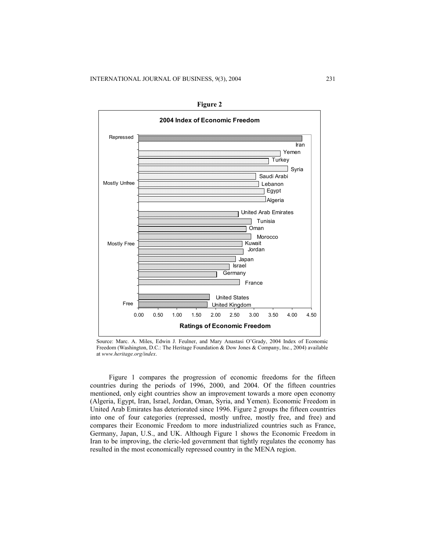

**Figure 2** 

Source: Marc. A. Miles, Edwin J. Feulner, and Mary Anastasi O'Grady, 2004 Index of Economic Freedom (Washington, D.C.: The Heritage Foundation & Dow Jones & Company, Inc., 2004) available at *www.heritage.org/index*.

Figure 1 compares the progression of economic freedoms for the fifteen countries during the periods of 1996, 2000, and 2004. Of the fifteen countries mentioned, only eight countries show an improvement towards a more open economy (Algeria, Egypt, Iran, Israel, Jordan, Oman, Syria, and Yemen). Economic Freedom in United Arab Emirates has deteriorated since 1996. Figure 2 groups the fifteen countries into one of four categories (repressed, mostly unfree, mostly free, and free) and compares their Economic Freedom to more industrialized countries such as France, Germany, Japan, U.S., and UK. Although Figure 1 shows the Economic Freedom in Iran to be improving, the cleric-led government that tightly regulates the economy has resulted in the most economically repressed country in the MENA region.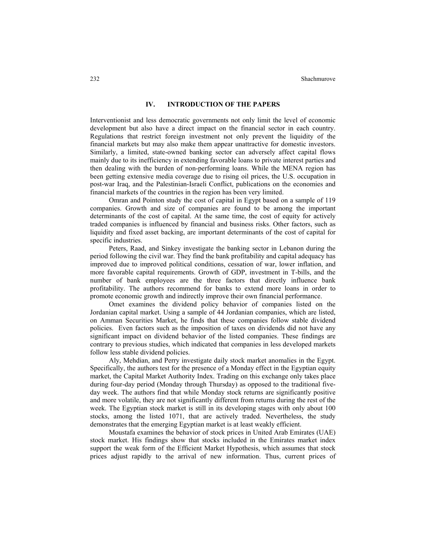## **IV. INTRODUCTION OF THE PAPERS**

Interventionist and less democratic governments not only limit the level of economic development but also have a direct impact on the financial sector in each country. Regulations that restrict foreign investment not only prevent the liquidity of the financial markets but may also make them appear unattractive for domestic investors. Similarly, a limited, state-owned banking sector can adversely affect capital flows mainly due to its inefficiency in extending favorable loans to private interest parties and then dealing with the burden of non-performing loans. While the MENA region has been getting extensive media coverage due to rising oil prices, the U.S. occupation in post-war Iraq, and the Palestinian-Israeli Conflict, publications on the economies and financial markets of the countries in the region has been very limited.

Omran and Pointon study the cost of capital in Egypt based on a sample of 119 companies. Growth and size of companies are found to be among the important determinants of the cost of capital. At the same time, the cost of equity for actively traded companies is influenced by financial and business risks. Other factors, such as liquidity and fixed asset backing, are important determinants of the cost of capital for specific industries.

Peters, Raad, and Sinkey investigate the banking sector in Lebanon during the period following the civil war. They find the bank profitability and capital adequacy has improved due to improved political conditions, cessation of war, lower inflation, and more favorable capital requirements. Growth of GDP, investment in T-bills, and the number of bank employees are the three factors that directly influence bank profitability. The authors recommend for banks to extend more loans in order to promote economic growth and indirectly improve their own financial performance.

Omet examines the dividend policy behavior of companies listed on the Jordanian capital market. Using a sample of 44 Jordanian companies, which are listed, on Amman Securities Market, he finds that these companies follow stable dividend policies. Even factors such as the imposition of taxes on dividends did not have any significant impact on dividend behavior of the listed companies. These findings are contrary to previous studies, which indicated that companies in less developed markets follow less stable dividend policies.

Aly, Mehdian, and Perry investigate daily stock market anomalies in the Egypt. Specifically, the authors test for the presence of a Monday effect in the Egyptian equity market, the Capital Market Authority Index. Trading on this exchange only takes place during four-day period (Monday through Thursday) as opposed to the traditional fiveday week. The authors find that while Monday stock returns are significantly positive and more volatile, they are not significantly different from returns during the rest of the week. The Egyptian stock market is still in its developing stages with only about 100 stocks, among the listed 1071, that are actively traded. Nevertheless, the study demonstrates that the emerging Egyptian market is at least weakly efficient.

Moustafa examines the behavior of stock prices in United Arab Emirates (UAE) stock market. His findings show that stocks included in the Emirates market index support the weak form of the Efficient Market Hypothesis, which assumes that stock prices adjust rapidly to the arrival of new information. Thus, current prices of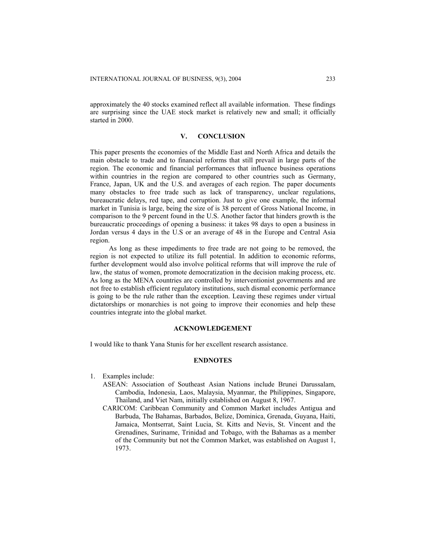approximately the 40 stocks examined reflect all available information. These findings are surprising since the UAE stock market is relatively new and small; it officially started in 2000.

## **V. CONCLUSION**

This paper presents the economies of the Middle East and North Africa and details the main obstacle to trade and to financial reforms that still prevail in large parts of the region. The economic and financial performances that influence business operations within countries in the region are compared to other countries such as Germany, France, Japan, UK and the U.S. and averages of each region. The paper documents many obstacles to free trade such as lack of transparency, unclear regulations, bureaucratic delays, red tape, and corruption. Just to give one example, the informal market in Tunisia is large, being the size of is 38 percent of Gross National Income, in comparison to the 9 percent found in the U.S. Another factor that hinders growth is the bureaucratic proceedings of opening a business: it takes 98 days to open a business in Jordan versus 4 days in the U.S or an average of 48 in the Europe and Central Asia region.

As long as these impediments to free trade are not going to be removed, the region is not expected to utilize its full potential. In addition to economic reforms, further development would also involve political reforms that will improve the rule of law, the status of women, promote democratization in the decision making process, etc. As long as the MENA countries are controlled by interventionist governments and are not free to establish efficient regulatory institutions, such dismal economic performance is going to be the rule rather than the exception. Leaving these regimes under virtual dictatorships or monarchies is not going to improve their economies and help these countries integrate into the global market.

#### **ACKNOWLEDGEMENT**

I would like to thank Yana Stunis for her excellent research assistance.

# **ENDNOTES**

- 1. Examples include:
	- ASEAN: Association of Southeast Asian Nations include Brunei Darussalam, Cambodia, Indonesia, Laos, Malaysia, Myanmar, the Philippines, Singapore, Thailand, and Viet Nam, initially established on August 8, 1967.
	- CARICOM: Caribbean Community and Common Market includes Antigua and Barbuda, The Bahamas, Barbados, Belize, Dominica, Grenada, Guyana, Haiti, Jamaica, Montserrat, Saint Lucia, St. Kitts and Nevis, St. Vincent and the Grenadines, Suriname, Trinidad and Tobago, with the Bahamas as a member of the Community but not the Common Market, was established on August 1, 1973.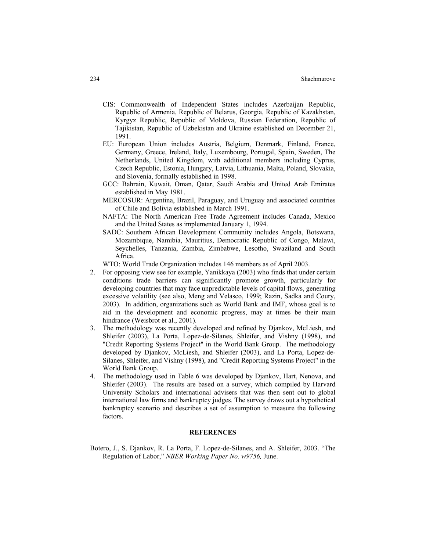- CIS: Commonwealth of Independent States includes Azerbaijan Republic, Republic of Armenia, Republic of Belarus, Georgia, Republic of Kazakhstan, Kyrgyz Republic, Republic of Moldova, Russian Federation, Republic of Tajikistan, Republic of Uzbekistan and Ukraine established on December 21, 1991.
- EU: European Union includes Austria, Belgium, Denmark, Finland, France, Germany, Greece, Ireland, Italy, Luxembourg, Portugal, Spain, Sweden, The Netherlands, United Kingdom, with additional members including Cyprus, Czech Republic, Estonia, Hungary, Latvia, Lithuania, Malta, Poland, Slovakia, and Slovenia, formally established in 1998.
- GCC: Bahrain, Kuwait, Oman, Qatar, Saudi Arabia and United Arab Emirates established in May 1981.
- MERCOSUR: Argentina, Brazil, Paraguay, and Uruguay and associated countries of Chile and Bolivia established in March 1991.
- NAFTA: The North American Free Trade Agreement includes Canada, Mexico and the United States as implemented January 1, 1994.
- SADC: Southern African Development Community includes Angola, Botswana, Mozambique, Namibia, Mauritius, Democratic Republic of Congo, Malawi, Seychelles, Tanzania, Zambia, Zimbabwe, Lesotho, Swaziland and South Africa.
- WTO: World Trade Organization includes 146 members as of April 2003.
- 2. For opposing view see for example, Yanikkaya (2003) who finds that under certain conditions trade barriers can significantly promote growth, particularly for developing countries that may face unpredictable levels of capital flows, generating excessive volatility (see also, Meng and Velasco, 1999; Razin, Sadka and Coury, 2003). In addition, organizations such as World Bank and IMF, whose goal is to aid in the development and economic progress, may at times be their main hindrance (Weisbrot et al., 2001).
- 3. The methodology was recently developed and refined by Djankov, McLiesh, and Shleifer (2003), La Porta, Lopez-de-Silanes, Shleifer, and Vishny (1998), and "Credit Reporting Systems Project" in the World Bank Group. The methodology developed by Djankov, McLiesh, and Shleifer (2003), and La Porta, Lopez-de-Silanes, Shleifer, and Vishny (1998), and "Credit Reporting Systems Project" in the World Bank Group.
- 4. The methodology used in Table 6 was developed by Djankov, Hart, Nenova, and Shleifer (2003). The results are based on a survey, which compiled by Harvard University Scholars and international advisers that was then sent out to global international law firms and bankruptcy judges. The survey draws out a hypothetical bankruptcy scenario and describes a set of assumption to measure the following factors.

# **REFERENCES**

Botero, J., S. Djankov, R. La Porta, F. Lopez-de-Silanes, and A. Shleifer, 2003. "The Regulation of Labor," *NBER Working Paper No. w9756,* June.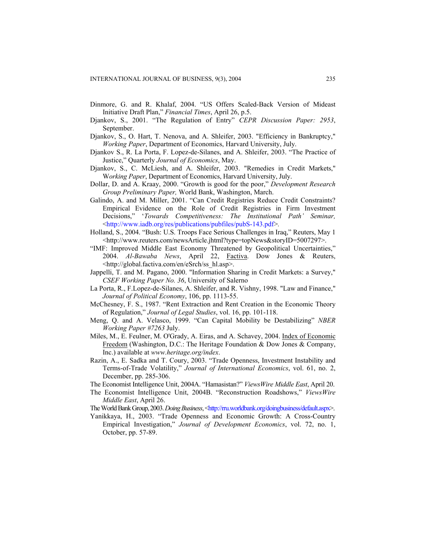- Dinmore, G. and R. Khalaf, 2004. "US Offers Scaled-Back Version of Mideast Initiative Draft Plan," *Financial Times*, April 26, p.5.
- Djankov, S., 2001. "The Regulation of Entry" *CEPR Discussion Paper: 2953*, September.
- Djankov, S., O. Hart, T. Nenova, and A. Shleifer, 2003. "Efficiency in Bankruptcy," *Working Paper*, Department of Economics, Harvard University, July.
- Djankov S., R. La Porta, F. Lopez-de-Silanes, and A. Shleifer, 2003. "The Practice of Justice," Quarterly *Journal of Economics*, May.
- Djankov, S., C. McLiesh, and A. Shleifer, 2003. "Remedies in Credit Markets," W*orking Paper*, Department of Economics, Harvard University, July.
- Dollar, D. and A. Kraay, 2000. "Growth is good for the poor," *Development Research Group Preliminary Paper,* World Bank, Washington, March.
- Galindo, A. and M. Miller, 2001. "Can Credit Registries Reduce Credit Constraints? Empirical Evidence on the Role of Credit Registries in Firm Investment Decisions," '*Towards Competitiveness: The Institutional Path' Seminar,*  [<http://www.iadb.org/res/publications/pubfiles/pubS-143.pdf>](http://www.iadb.org/res/publications/pubfiles/pubS-143.pdf)*.*
- Holland, S., 2004. "Bush: U.S. Troops Face Serious Challenges in Iraq," Reuters, May 1 <http://www.reuters.com/newsArticle.jhtml?type=topNews&storyID=5007297>.
- "IMF: Improved Middle East Economy Threatened by Geopolitical Uncertainties," 2004. *Al-Bawaba News*, April 22, Factiva. Dow Jones & Reuters, <http://global.factiva.com/en/eSrch/ss\_hl.asp>.
- Jappelli, T. and M. Pagano, 2000. ["Information Sharing in Credit Markets: a Survey,](http://rru.worldbank.org/LogAndOpen.aspx?DocumentID=1200&URL=http://www.dise.unisa.it/WP/wp36.pdf)" *CSEF Working Paper No. 36*, University of Salerno
- La Porta, R., F.Lopez-de-Silanes, A. Shleifer, and R. Vishny, 1998. "[Law and Finance,](http://rru.worldbank.org/LogAndOpen.aspx?DocumentID=1245&URL=http://post.economics.harvard.edu/faculty/shleifer/papers/lawandfinance.pdf)" *Journal of Political Economy*, 106, pp. 1113-55.
- McChesney, F. S., 1987. "Rent Extraction and Rent Creation in the Economic Theory of Regulation," *Journal of Legal Studies*, vol. 16, pp. 101-118.
- Meng, Q. and A. Velasco, 1999. "Can Capital Mobility be Destabilizing" *NBER Working Paper #7263* July.
- Miles, [M.,](http://www.amazon.com/exec/obidos/search-handle-url/index=books&field-author=Miles%2C Marc/102-2998802-4068139) [E. Feulner,](http://www.amazon.com/exec/obidos/search-handle-url/index=books&field-author=Feulner%2C Edwin J./102-2998802-4068139) [M. O'Grady](http://www.amazon.com/exec/obidos/search-handle-url/index=books&field-author=O%27Grady%2C Mary Anastasia/102-2998802-4068139), [A. Eiras,](http://www.amazon.com/exec/obidos/search-handle-url/index=books&field-author=Eiras%2C Ana Isabel/102-2998802-4068139) and [A. Schavey](http://www.amazon.com/exec/obidos/search-handle-url/index=books&field-author=Schavey%2C Aaron/102-2998802-4068139), 2004. Index of Economic Freedom (Washington, D.C.: The Heritage Foundation & Dow Jones & Company, Inc.) available at *www.heritage.org/index*.
- Razin, A., E. Sadka and T. Coury, 2003. "Trade Openness, Investment Instability and Terms-of-Trade Volatility," *Journal of International Economics*, vol. 61, no. 2, December, pp. 285-306.
- The Economist Intelligence Unit, 2004A. "Hamasistan?" *ViewsWire Middle East*, April 20.
- The Economist Intelligence Unit, 2004B. "Reconstruction Roadshows," *ViewsWire Middle East*, April 26.
- The World Bank Group, 2003. *Doing Business*, [<http://rru.worldbank.org/doingbusiness/default.aspx](http://rru.worldbank.org/doingbusiness/default.aspx)>.
- Yanikkaya, H., 2003. "Trade Openness and Economic Growth: A Cross-Country Empirical Investigation," *Journal of Development Economics*, vol. 72, no. 1, October, pp. 57-89.